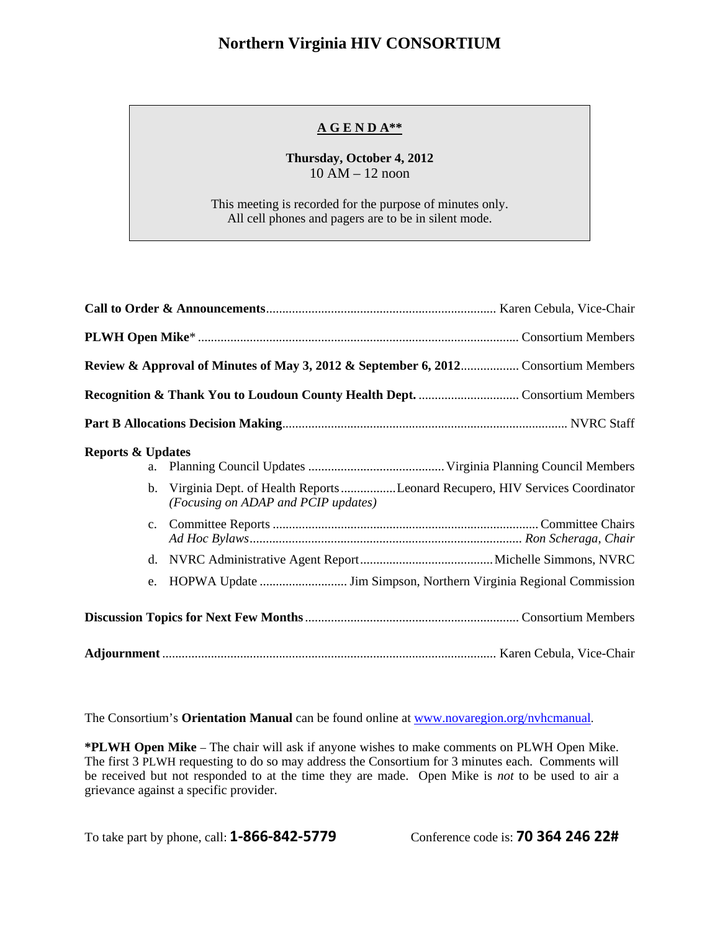## **Northern Virginia HIV CONSORTIUM**

## **A G E N D A\*\***

**Thursday, October 4, 2012**  10 AM – 12 noon

This meeting is recorded for the purpose of minutes only. All cell phones and pagers are to be in silent mode.

|                              | Review & Approval of Minutes of May 3, 2012 & September 6, 2012 Consortium Members                                    |
|------------------------------|-----------------------------------------------------------------------------------------------------------------------|
|                              |                                                                                                                       |
|                              |                                                                                                                       |
| <b>Reports &amp; Updates</b> |                                                                                                                       |
|                              |                                                                                                                       |
|                              | b. Virginia Dept. of Health Reports Leonard Recupero, HIV Services Coordinator<br>(Focusing on ADAP and PCIP updates) |
|                              |                                                                                                                       |
|                              |                                                                                                                       |
|                              |                                                                                                                       |
|                              |                                                                                                                       |
|                              |                                                                                                                       |

The Consortium's **Orientation Manual** can be found online at www.novaregion.org/nvhcmanual.

**\*PLWH Open Mike** – The chair will ask if anyone wishes to make comments on PLWH Open Mike. The first 3 PLWH requesting to do so may address the Consortium for 3 minutes each. Comments will be received but not responded to at the time they are made. Open Mike is *not* to be used to air a grievance against a specific provider.

To take part by phone, call: **1‐866‐842‐5779** Conference code is: **70 364 246 22#**